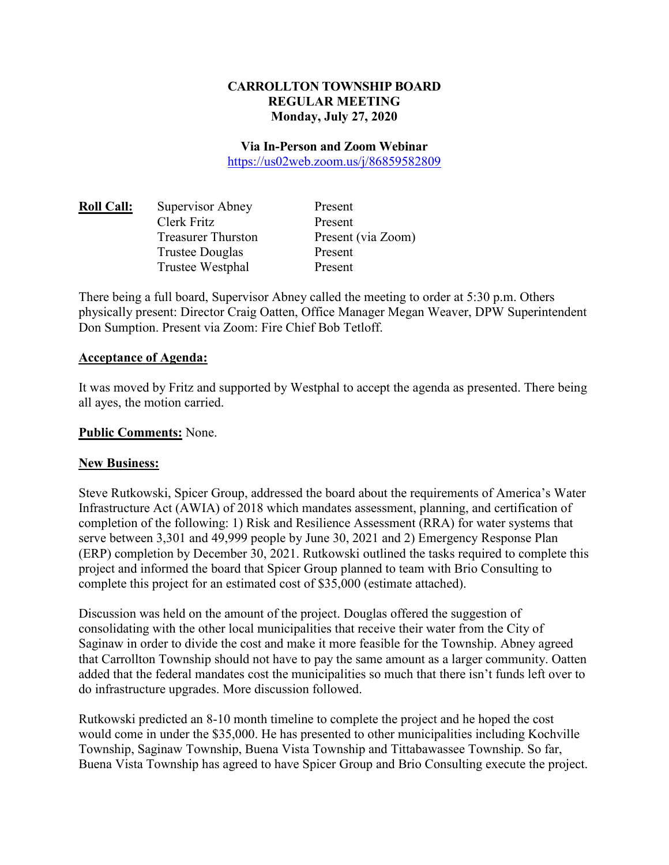## **CARROLLTON TOWNSHIP BOARD REGULAR MEETING Monday, July 27, 2020**

#### **Via In-Person and Zoom Webinar**

https://us02web.zoom.us/j/86859582809

| <u> Roll Call:</u> | Supervisor Abney          | Present            |
|--------------------|---------------------------|--------------------|
|                    | Clerk Fritz               | Present            |
|                    | <b>Treasurer Thurston</b> | Present (via Zoom) |
|                    | Trustee Douglas           | Present            |
|                    | Trustee Westphal          | Present            |
|                    |                           |                    |

There being a full board, Supervisor Abney called the meeting to order at 5:30 p.m. Others physically present: Director Craig Oatten, Office Manager Megan Weaver, DPW Superintendent Don Sumption. Present via Zoom: Fire Chief Bob Tetloff.

#### **Acceptance of Agenda:**

It was moved by Fritz and supported by Westphal to accept the agenda as presented. There being all ayes, the motion carried.

### **Public Comments:** None.

### **New Business:**

Steve Rutkowski, Spicer Group, addressed the board about the requirements of America's Water Infrastructure Act (AWIA) of 2018 which mandates assessment, planning, and certification of completion of the following: 1) Risk and Resilience Assessment (RRA) for water systems that serve between 3,301 and 49,999 people by June 30, 2021 and 2) Emergency Response Plan (ERP) completion by December 30, 2021. Rutkowski outlined the tasks required to complete this project and informed the board that Spicer Group planned to team with Brio Consulting to complete this project for an estimated cost of \$35,000 (estimate attached).

Discussion was held on the amount of the project. Douglas offered the suggestion of consolidating with the other local municipalities that receive their water from the City of Saginaw in order to divide the cost and make it more feasible for the Township. Abney agreed that Carrollton Township should not have to pay the same amount as a larger community. Oatten added that the federal mandates cost the municipalities so much that there isn't funds left over to do infrastructure upgrades. More discussion followed.

Rutkowski predicted an 8-10 month timeline to complete the project and he hoped the cost would come in under the \$35,000. He has presented to other municipalities including Kochville Township, Saginaw Township, Buena Vista Township and Tittabawassee Township. So far, Buena Vista Township has agreed to have Spicer Group and Brio Consulting execute the project.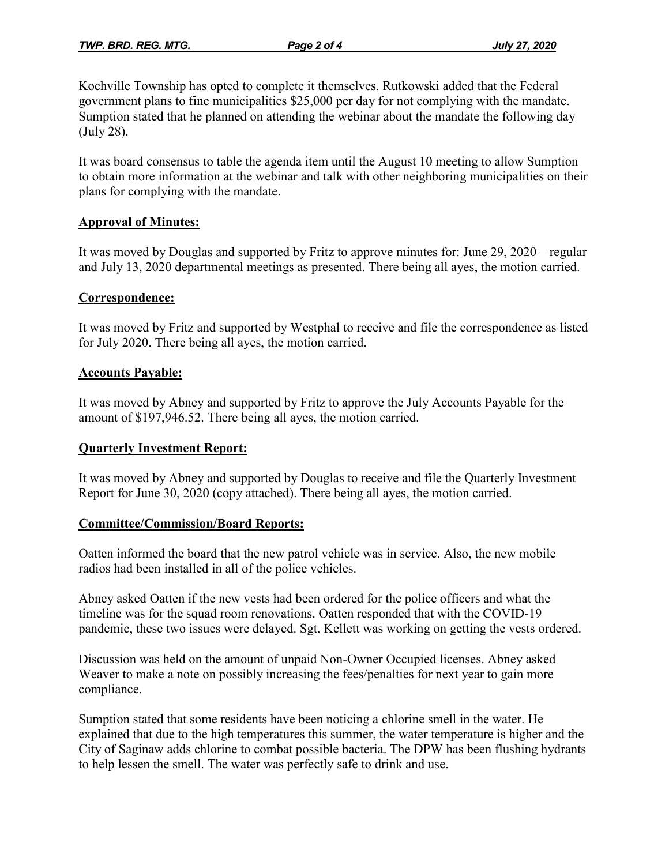Kochville Township has opted to complete it themselves. Rutkowski added that the Federal government plans to fine municipalities \$25,000 per day for not complying with the mandate. Sumption stated that he planned on attending the webinar about the mandate the following day (July 28).

It was board consensus to table the agenda item until the August 10 meeting to allow Sumption to obtain more information at the webinar and talk with other neighboring municipalities on their plans for complying with the mandate.

## **Approval of Minutes:**

It was moved by Douglas and supported by Fritz to approve minutes for: June 29, 2020 – regular and July 13, 2020 departmental meetings as presented. There being all ayes, the motion carried.

## **Correspondence:**

It was moved by Fritz and supported by Westphal to receive and file the correspondence as listed for July 2020. There being all ayes, the motion carried.

## **Accounts Payable:**

It was moved by Abney and supported by Fritz to approve the July Accounts Payable for the amount of \$197,946.52. There being all ayes, the motion carried.

### **Quarterly Investment Report:**

It was moved by Abney and supported by Douglas to receive and file the Quarterly Investment Report for June 30, 2020 (copy attached). There being all ayes, the motion carried.

### **Committee/Commission/Board Reports:**

Oatten informed the board that the new patrol vehicle was in service. Also, the new mobile radios had been installed in all of the police vehicles.

Abney asked Oatten if the new vests had been ordered for the police officers and what the timeline was for the squad room renovations. Oatten responded that with the COVID-19 pandemic, these two issues were delayed. Sgt. Kellett was working on getting the vests ordered.

Discussion was held on the amount of unpaid Non-Owner Occupied licenses. Abney asked Weaver to make a note on possibly increasing the fees/penalties for next year to gain more compliance.

Sumption stated that some residents have been noticing a chlorine smell in the water. He explained that due to the high temperatures this summer, the water temperature is higher and the City of Saginaw adds chlorine to combat possible bacteria. The DPW has been flushing hydrants to help lessen the smell. The water was perfectly safe to drink and use.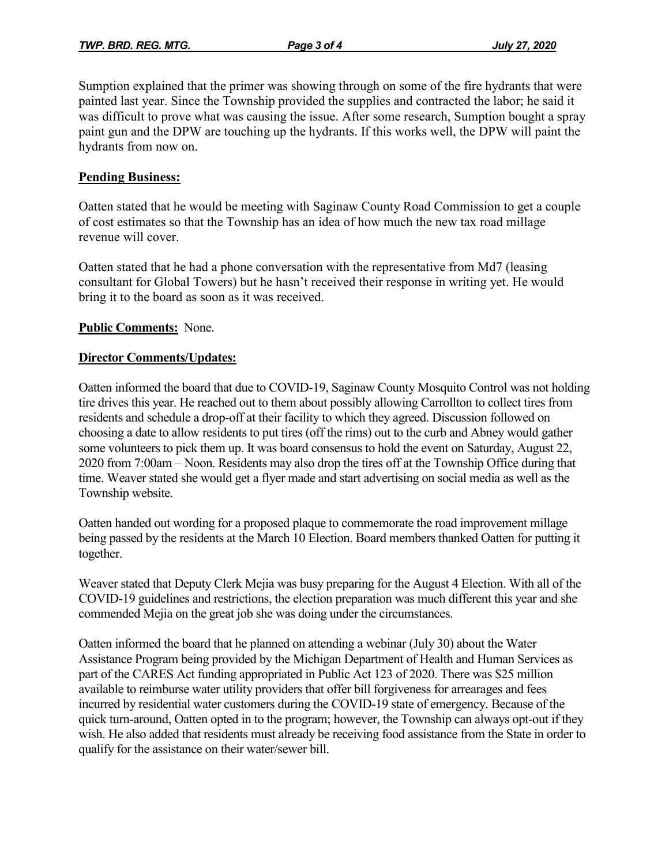Sumption explained that the primer was showing through on some of the fire hydrants that were painted last year. Since the Township provided the supplies and contracted the labor; he said it was difficult to prove what was causing the issue. After some research, Sumption bought a spray paint gun and the DPW are touching up the hydrants. If this works well, the DPW will paint the hydrants from now on.

## **Pending Business:**

Oatten stated that he would be meeting with Saginaw County Road Commission to get a couple of cost estimates so that the Township has an idea of how much the new tax road millage revenue will cover.

Oatten stated that he had a phone conversation with the representative from Md7 (leasing consultant for Global Towers) but he hasn't received their response in writing yet. He would bring it to the board as soon as it was received.

## **Public Comments:** None.

### **Director Comments/Updates:**

Oatten informed the board that due to COVID-19, Saginaw County Mosquito Control was not holding tire drives this year. He reached out to them about possibly allowing Carrollton to collect tires from residents and schedule a drop-off at their facility to which they agreed. Discussion followed on choosing a date to allow residents to put tires (off the rims) out to the curb and Abney would gather some volunteers to pick them up. It was board consensus to hold the event on Saturday, August 22, 2020 from 7:00am – Noon. Residents may also drop the tires off at the Township Office during that time. Weaver stated she would get a flyer made and start advertising on social media as well as the Township website.

Oatten handed out wording for a proposed plaque to commemorate the road improvement millage being passed by the residents at the March 10 Election. Board members thanked Oatten for putting it together.

Weaver stated that Deputy Clerk Mejia was busy preparing for the August 4 Election. With all of the COVID-19 guidelines and restrictions, the election preparation was much different this year and she commended Mejia on the great job she was doing under the circumstances.

Oatten informed the board that he planned on attending a webinar (July 30) about the Water Assistance Program being provided by the Michigan Department of Health and Human Services as part of the CARES Act funding appropriated in Public Act 123 of 2020. There was \$25 million available to reimburse water utility providers that offer bill forgiveness for arrearages and fees incurred by residential water customers during the COVID-19 state of emergency. Because of the quick turn-around, Oatten opted in to the program; however, the Township can always opt-out if they wish. He also added that residents must already be receiving food assistance from the State in order to qualify for the assistance on their water/sewer bill.